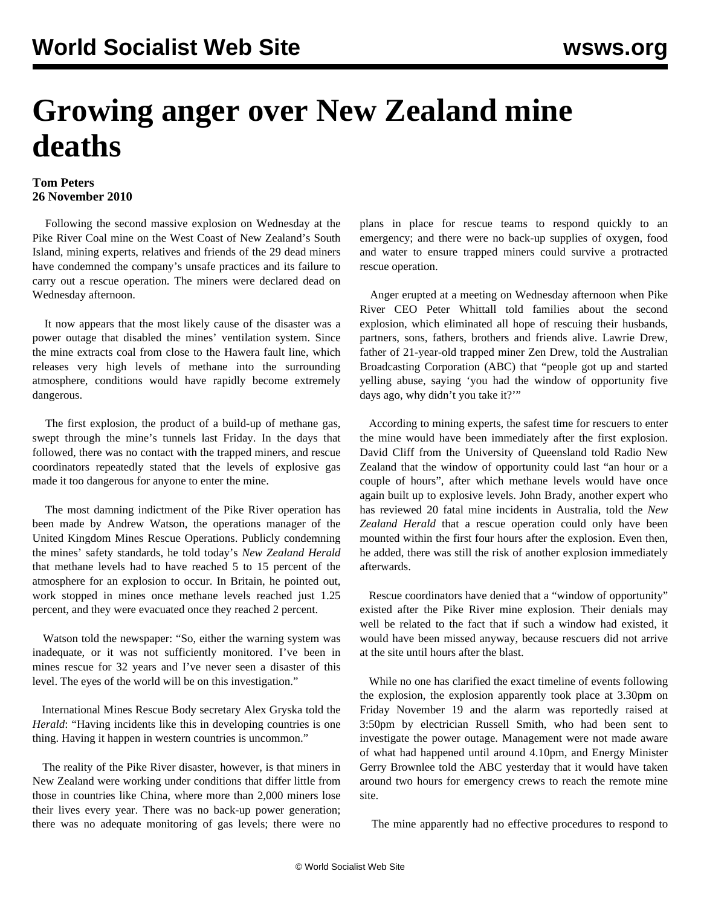## **Growing anger over New Zealand mine deaths**

## **Tom Peters 26 November 2010**

 Following the second massive explosion on Wednesday at the Pike River Coal mine on the West Coast of New Zealand's South Island, mining experts, relatives and friends of the 29 dead miners have condemned the company's unsafe practices and its failure to carry out a rescue operation. The miners were declared dead on Wednesday afternoon.

 It now appears that the most likely cause of the disaster was a power outage that disabled the mines' ventilation system. Since the mine extracts coal from close to the Hawera fault line, which releases very high levels of methane into the surrounding atmosphere, conditions would have rapidly become extremely dangerous.

 The first explosion, the product of a build-up of methane gas, swept through the mine's tunnels last Friday. In the days that followed, there was no contact with the trapped miners, and rescue coordinators repeatedly stated that the levels of explosive gas made it too dangerous for anyone to enter the mine.

 The most damning indictment of the Pike River operation has been made by Andrew Watson, the operations manager of the United Kingdom Mines Rescue Operations. Publicly condemning the mines' safety standards, he told today's *New Zealand Herald* that methane levels had to have reached 5 to 15 percent of the atmosphere for an explosion to occur. In Britain, he pointed out, work stopped in mines once methane levels reached just 1.25 percent, and they were evacuated once they reached 2 percent.

 Watson told the newspaper: "So, either the warning system was inadequate, or it was not sufficiently monitored. I've been in mines rescue for 32 years and I've never seen a disaster of this level. The eyes of the world will be on this investigation."

 International Mines Rescue Body secretary Alex Gryska told the *Herald*: "Having incidents like this in developing countries is one thing. Having it happen in western countries is uncommon."

 The reality of the Pike River disaster, however, is that miners in New Zealand were working under conditions that differ little from those in countries like China, where more than 2,000 miners lose their lives every year. There was no back-up power generation; there was no adequate monitoring of gas levels; there were no plans in place for rescue teams to respond quickly to an emergency; and there were no back-up supplies of oxygen, food and water to ensure trapped miners could survive a protracted rescue operation.

 Anger erupted at a meeting on Wednesday afternoon when Pike River CEO Peter Whittall told families about the second explosion, which eliminated all hope of rescuing their husbands, partners, sons, fathers, brothers and friends alive. Lawrie Drew, father of 21-year-old trapped miner Zen Drew, told the Australian Broadcasting Corporation (ABC) that "people got up and started yelling abuse, saying 'you had the window of opportunity five days ago, why didn't you take it?'"

 According to mining experts, the safest time for rescuers to enter the mine would have been immediately after the first explosion. David Cliff from the University of Queensland told Radio New Zealand that the window of opportunity could last "an hour or a couple of hours", after which methane levels would have once again built up to explosive levels. John Brady, another expert who has reviewed 20 fatal mine incidents in Australia, told the *New Zealand Herald* that a rescue operation could only have been mounted within the first four hours after the explosion. Even then, he added, there was still the risk of another explosion immediately afterwards.

 Rescue coordinators have denied that a "window of opportunity" existed after the Pike River mine explosion. Their denials may well be related to the fact that if such a window had existed, it would have been missed anyway, because rescuers did not arrive at the site until hours after the blast.

 While no one has clarified the exact timeline of events following the explosion, the explosion apparently took place at 3.30pm on Friday November 19 and the alarm was reportedly raised at 3:50pm by electrician Russell Smith, who had been sent to investigate the power outage. Management were not made aware of what had happened until around 4.10pm, and Energy Minister Gerry Brownlee told the ABC yesterday that it would have taken around two hours for emergency crews to reach the remote mine site.

The mine apparently had no effective procedures to respond to